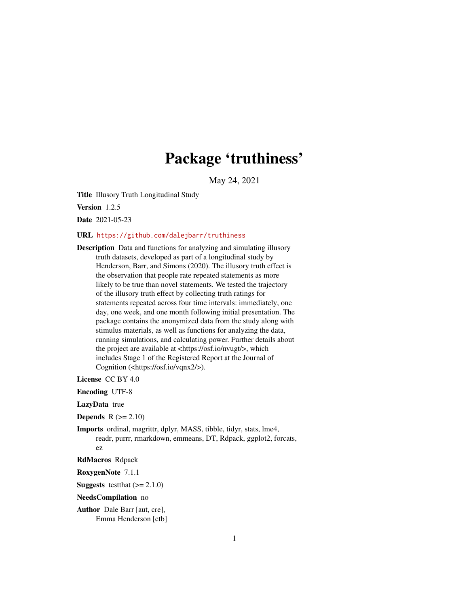# Package 'truthiness'

May 24, 2021

<span id="page-0-0"></span>Title Illusory Truth Longitudinal Study

Version 1.2.5

Date 2021-05-23

URL <https://github.com/dalejbarr/truthiness>

Description Data and functions for analyzing and simulating illusory truth datasets, developed as part of a longitudinal study by Henderson, Barr, and Simons (2020). The illusory truth effect is the observation that people rate repeated statements as more likely to be true than novel statements. We tested the trajectory of the illusory truth effect by collecting truth ratings for statements repeated across four time intervals: immediately, one day, one week, and one month following initial presentation. The package contains the anonymized data from the study along with stimulus materials, as well as functions for analyzing the data, running simulations, and calculating power. Further details about the project are available at <https://osf.io/nvugt/>, which includes Stage 1 of the Registered Report at the Journal of Cognition (<https://osf.io/vqnx2/>).

License CC BY 4.0

Encoding UTF-8

LazyData true

**Depends**  $R (= 2.10)$ 

Imports ordinal, magrittr, dplyr, MASS, tibble, tidyr, stats, lme4, readr, purrr, rmarkdown, emmeans, DT, Rdpack, ggplot2, forcats, ez

RdMacros Rdpack

RoxygenNote 7.1.1

**Suggests** testthat  $(>= 2.1.0)$ 

NeedsCompilation no

Author Dale Barr [aut, cre], Emma Henderson [ctb]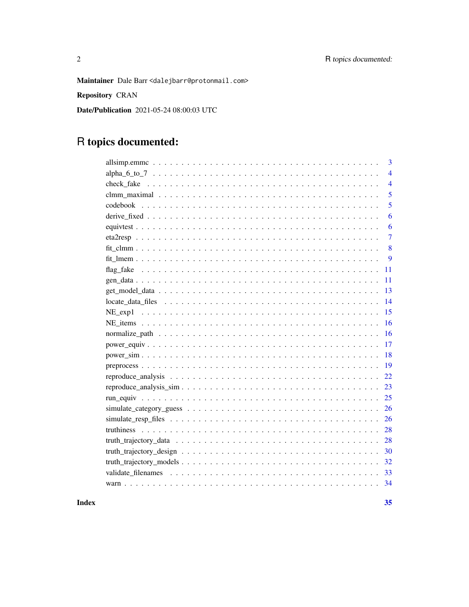Maintainer Dale Barr <dalejbarr@protonmail.com>

Repository CRAN

Date/Publication 2021-05-24 08:00:03 UTC

# R topics documented:

| 3              |
|----------------|
| $\overline{4}$ |
| $\overline{4}$ |
| 5              |
| 5              |
| 6              |
| 6              |
| $\overline{7}$ |
| 8              |
| 9              |
| 11             |
| 11             |
| 13             |
| 14             |
| 15             |
| 16             |
| 16             |
| 17             |
| 18             |
| 19             |
| 22             |
| 23             |
| 25             |
| 26             |
| 26             |
| 28             |
| 28             |
| 30             |
| 32             |
| 33             |
|                |

### **Index**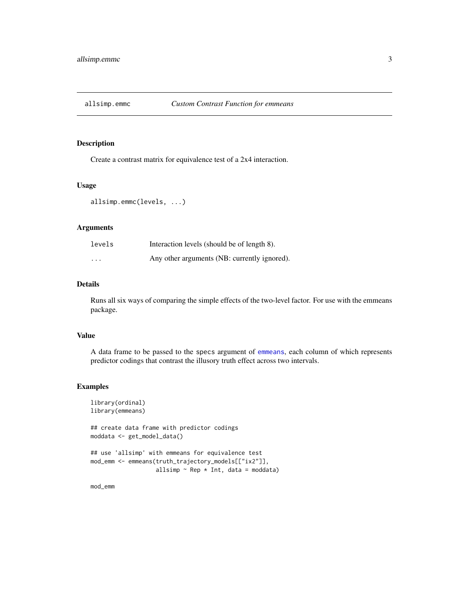<span id="page-2-0"></span>

Create a contrast matrix for equivalence test of a 2x4 interaction.

### Usage

```
allsimp.emmc(levels, ...)
```
### Arguments

| levels   | Interaction levels (should be of length 8).  |
|----------|----------------------------------------------|
| $\cdots$ | Any other arguments (NB: currently ignored). |

### Details

Runs all six ways of comparing the simple effects of the two-level factor. For use with the emmeans package.

#### Value

A data frame to be passed to the specs argument of [emmeans](#page-0-0), each column of which represents predictor codings that contrast the illusory truth effect across two intervals.

### Examples

```
library(ordinal)
library(emmeans)
## create data frame with predictor codings
moddata <- get_model_data()
## use 'allsimp' with emmeans for equivalence test
mod_emm <- emmeans(truth_trajectory_models[["ix2"]],
                   allsimp \sim Rep \star Int, data = moddata)
```
mod\_emm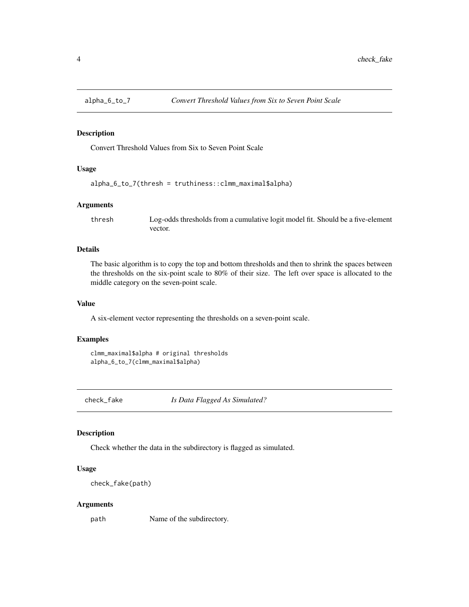<span id="page-3-0"></span>

Convert Threshold Values from Six to Seven Point Scale

### Usage

```
alpha_6_to_7(thresh = truthiness::clmm_maximal$alpha)
```
#### Arguments

thresh Log-odds thresholds from a cumulative logit model fit. Should be a five-element vector.

### Details

The basic algorithm is to copy the top and bottom thresholds and then to shrink the spaces between the thresholds on the six-point scale to 80% of their size. The left over space is allocated to the middle category on the seven-point scale.

### Value

A six-element vector representing the thresholds on a seven-point scale.

#### Examples

```
clmm_maximal$alpha # original thresholds
alpha_6_to_7(clmm_maximal$alpha)
```
check\_fake *Is Data Flagged As Simulated?*

#### Description

Check whether the data in the subdirectory is flagged as simulated.

### Usage

check\_fake(path)

#### Arguments

path Name of the subdirectory.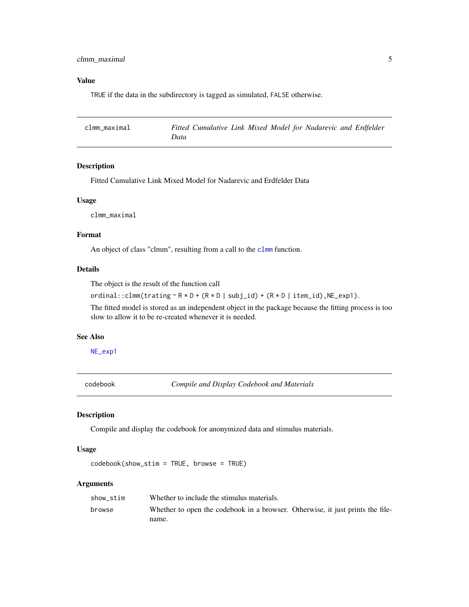### <span id="page-4-0"></span>Value

TRUE if the data in the subdirectory is tagged as simulated, FALSE otherwise.

<span id="page-4-1"></span>

| clmm maximal | Fitted Cumulative Link Mixed Model for Nadarevic and Erdfelder |  |  |
|--------------|----------------------------------------------------------------|--|--|
|              | Data                                                           |  |  |

### Description

Fitted Cumulative Link Mixed Model for Nadarevic and Erdfelder Data

### Usage

clmm\_maximal

### Format

An object of class "clmm", resulting from a call to the [clmm](#page-0-0) function.

### Details

The object is the result of the function call

ordinal::clmm(trating  $\sim$  R  $\star$  D + (R  $\star$  D | subj\_id) + (R  $\star$  D | item\_id), NE\_exp1).

The fitted model is stored as an independent object in the package because the fitting process is too slow to allow it to be re-created whenever it is needed.

### See Also

[NE\\_exp1](#page-14-1)

<span id="page-4-2"></span>codebook *Compile and Display Codebook and Materials*

#### Description

Compile and display the codebook for anonymized data and stimulus materials.

#### Usage

codebook(show\_stim = TRUE, browse = TRUE)

### Arguments

| show stim | Whether to include the stimulus materials.                                     |
|-----------|--------------------------------------------------------------------------------|
| browse    | Whether to open the codebook in a browser. Otherwise, it just prints the file- |
|           | name.                                                                          |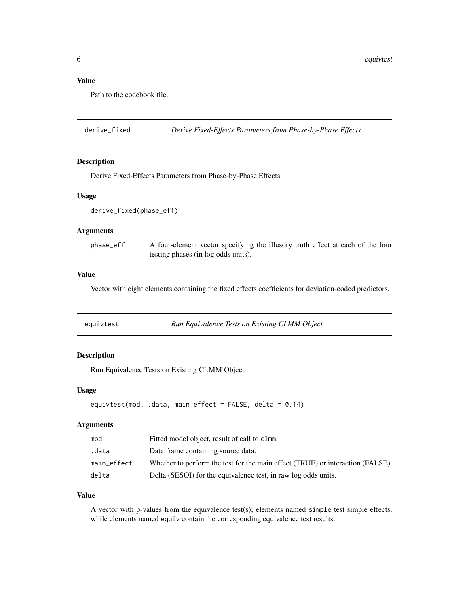### <span id="page-5-0"></span>Value

Path to the codebook file.

derive\_fixed *Derive Fixed-Effects Parameters from Phase-by-Phase Effects*

#### Description

Derive Fixed-Effects Parameters from Phase-by-Phase Effects

#### Usage

```
derive_fixed(phase_eff)
```
### Arguments

| phase eff | A four-element vector specifying the illusory truth effect at each of the four |
|-----------|--------------------------------------------------------------------------------|
|           | testing phases (in log odds units).                                            |

### Value

Vector with eight elements containing the fixed effects coefficients for deviation-coded predictors.

| equivtest | Run Equivalence Tests on Existing CLMM Object |  |
|-----------|-----------------------------------------------|--|
|           |                                               |  |

### Description

Run Equivalence Tests on Existing CLMM Object

### Usage

```
equivtest(mod, .data, main_effect = FALSE, delta = 0.14)
```
### Arguments

| mod         | Fitted model object, result of call to clmm.                                   |
|-------------|--------------------------------------------------------------------------------|
| .data       | Data frame containing source data.                                             |
| main effect | Whether to perform the test for the main effect (TRUE) or interaction (FALSE). |
| delta       | Delta (SESOI) for the equivalence test, in raw log odds units.                 |

### Value

A vector with p-values from the equivalence test(s); elements named simple test simple effects, while elements named equiv contain the corresponding equivalence test results.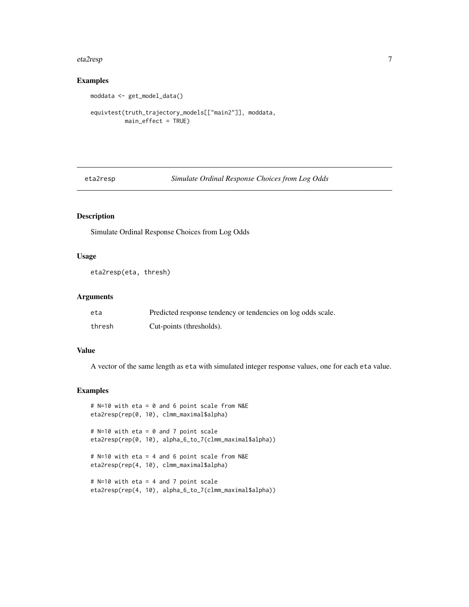#### <span id="page-6-0"></span>eta2resp 7 and 2008 and 2008 and 2008 and 2008 and 2008 and 2008 and 2008 and 2008 and 2008 and 2008 and 2008

### Examples

```
moddata <- get_model_data()
```

```
equivtest(truth_trajectory_models[["main2"]], moddata,
         main_effect = TRUE)
```
eta2resp *Simulate Ordinal Response Choices from Log Odds*

### Description

Simulate Ordinal Response Choices from Log Odds

### Usage

```
eta2resp(eta, thresh)
```
### Arguments

| eta    | Predicted response tendency or tendencies on log odds scale. |
|--------|--------------------------------------------------------------|
| thresh | Cut-points (thresholds).                                     |

### Value

A vector of the same length as eta with simulated integer response values, one for each eta value.

### Examples

```
# N=10 with eta = 0 and 6 point scale from N&E
eta2resp(rep(0, 10), clmm_maximal$alpha)
# N=10 with eta = 0 and 7 point scale
eta2resp(rep(0, 10), alpha_6_to_7(clmm_maximal$alpha))
# N=10 with eta = 4 and 6 point scale from N&E
eta2resp(rep(4, 10), clmm_maximal$alpha)
# N=10 with eta = 4 and 7 point scale
eta2resp(rep(4, 10), alpha_6_to_7(clmm_maximal$alpha))
```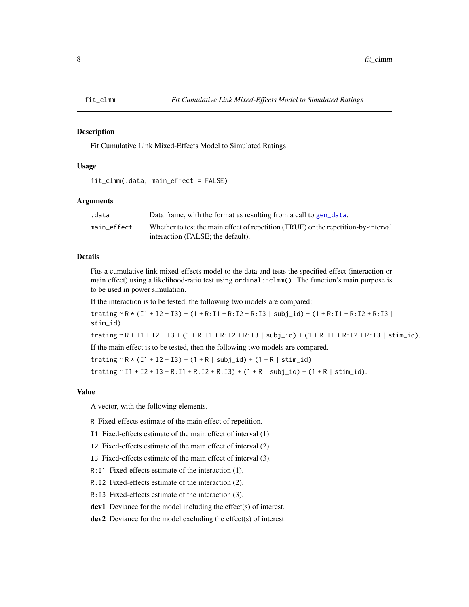<span id="page-7-1"></span><span id="page-7-0"></span>

Fit Cumulative Link Mixed-Effects Model to Simulated Ratings

### Usage

```
fit_clmm(.data, main_effect = FALSE)
```
### Arguments

| .data       | Data frame, with the format as resulting from a call to gen_data.                  |
|-------------|------------------------------------------------------------------------------------|
| main effect | Whether to test the main effect of repetition (TRUE) or the repetition-by-interval |
|             | interaction (FALSE; the default).                                                  |

#### Details

Fits a cumulative link mixed-effects model to the data and tests the specified effect (interaction or main effect) using a likelihood-ratio test using ordinal::clmm(). The function's main purpose is to be used in power simulation.

If the interaction is to be tested, the following two models are compared:

trating  $R * (I1 + I2 + I3) + (1 + R:I1 + R:I2 + R:I3 | subj_id) + (1 + R:I1 + R:I2 + R:I3 | )$ stim\_id)

trating  $R + I1 + I2 + I3 + (1 + R:I1 + R:I2 + R:I3$  | subj\_id) +  $(1 + R:I1 + R:I2 + R:I3$  | stim\_id).

If the main effect is to be tested, then the following two models are compared.

 $\text{training } \sim R * (I1 + I2 + I3) + (1 + R | \text{subj_id}) + (1 + R | \text{stim_id})$ 

 $\text{training} \sim 11 + 12 + 13 + R: I1 + R: I2 + R: I3) + (1 + R | \text{subj_id}) + (1 + R | \text{stim_id}).$ 

### Value

A vector, with the following elements.

- R Fixed-effects estimate of the main effect of repetition.
- I1 Fixed-effects estimate of the main effect of interval (1).
- I2 Fixed-effects estimate of the main effect of interval (2).
- I3 Fixed-effects estimate of the main effect of interval (3).
- R:I1 Fixed-effects estimate of the interaction (1).
- R:I2 Fixed-effects estimate of the interaction (2).
- R:I3 Fixed-effects estimate of the interaction (3).
- dev1 Deviance for the model including the effect(s) of interest.

dev2 Deviance for the model excluding the effect(s) of interest.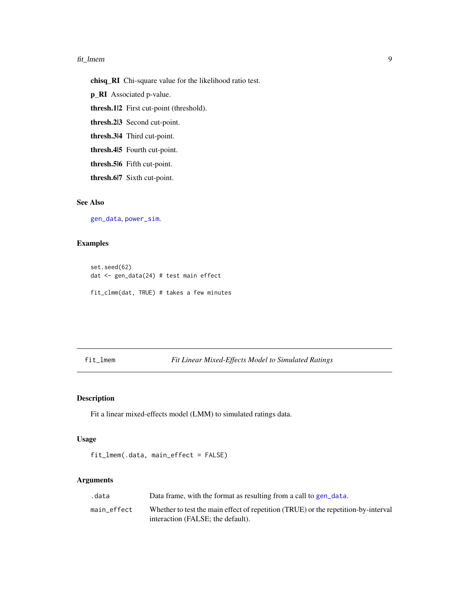#### <span id="page-8-0"></span>fit\_lmem 9

chisq\_RI Chi-square value for the likelihood ratio test.

p\_RI Associated p-value.

thresh.1|2 First cut-point (threshold).

thresh.2|3 Second cut-point.

thresh.3|4 Third cut-point.

thresh.4|5 Fourth cut-point.

thresh.5|6 Fifth cut-point.

thresh.6|7 Sixth cut-point.

### See Also

[gen\\_data](#page-10-1), [power\\_sim](#page-17-1).

### Examples

set.seed(62) dat <- gen\_data(24) # test main effect

fit\_clmm(dat, TRUE) # takes a few minutes

### <span id="page-8-1"></span>fit\_lmem *Fit Linear Mixed-Effects Model to Simulated Ratings*

### Description

Fit a linear mixed-effects model (LMM) to simulated ratings data.

### Usage

fit\_lmem(.data, main\_effect = FALSE)

### Arguments

| .data       | Data frame, with the format as resulting from a call to gen_data.                  |
|-------------|------------------------------------------------------------------------------------|
| main effect | Whether to test the main effect of repetition (TRUE) or the repetition-by-interval |
|             | interaction (FALSE: the default).                                                  |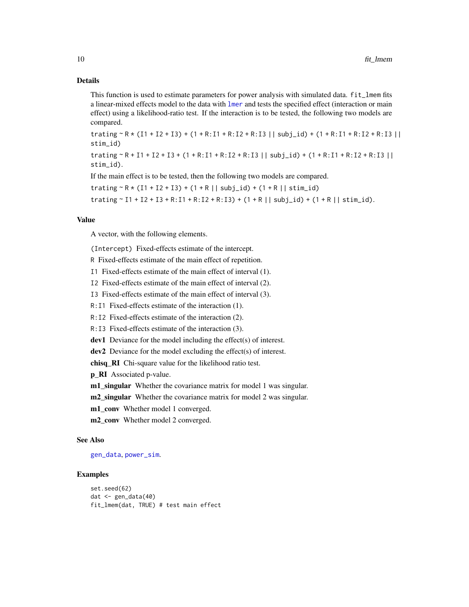### Details

This function is used to estimate parameters for power analysis with simulated data.  $fit$  lmem fits a linear-mixed effects model to the data with [lmer](#page-0-0) and tests the specified effect (interaction or main effect) using a likelihood-ratio test. If the interaction is to be tested, the following two models are compared.

trating ~ R \* (I1 + I2 + I3) + (1 + R:I1 + R:I2 + R:I3 || subj\_id) + (1 + R:I1 + R:I2 + R:I3 || stim\_id)

trating  $R + I1 + I2 + I3 + (1 + R:I1 + R:I2 + R:I3 || subj_id) + (1 + R:I1 + R:I2 + R:I3 ||$ stim\_id).

If the main effect is to be tested, then the following two models are compared.

 $\text{training } \sim R * (I1 + I2 + I3) + (1 + R || \text{subj_id}) + (1 + R || \text{stim_id})$ 

trating  $\sim$  I1 + I2 + I3 + R:I1 + R:I2 + R:I3) + (1 + R || subj\_id) + (1 + R || stim\_id).

### Value

A vector, with the following elements.

(Intercept) Fixed-effects estimate of the intercept.

R Fixed-effects estimate of the main effect of repetition.

I1 Fixed-effects estimate of the main effect of interval (1).

I2 Fixed-effects estimate of the main effect of interval (2).

I3 Fixed-effects estimate of the main effect of interval (3).

R:I1 Fixed-effects estimate of the interaction (1).

R:I2 Fixed-effects estimate of the interaction (2).

R:I3 Fixed-effects estimate of the interaction (3).

dev1 Deviance for the model including the effect(s) of interest.

dev2 Deviance for the model excluding the effect(s) of interest.

chisq\_RI Chi-square value for the likelihood ratio test.

**p\_RI** Associated p-value.

**m1\_singular** Whether the covariance matrix for model 1 was singular.

m2\_singular Whether the covariance matrix for model 2 was singular.

m1\_conv Whether model 1 converged.

m2\_conv Whether model 2 converged.

### See Also

[gen\\_data](#page-10-1), [power\\_sim](#page-17-1).

#### Examples

```
set.seed(62)
dat <- gen_data(40)
fit_lmem(dat, TRUE) # test main effect
```
<span id="page-9-0"></span>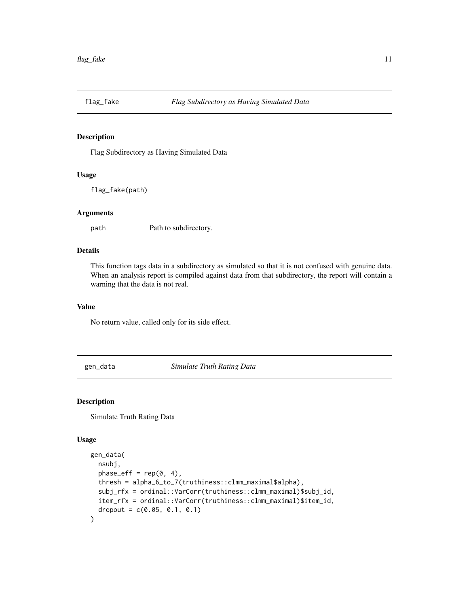<span id="page-10-0"></span>

Flag Subdirectory as Having Simulated Data

### Usage

flag\_fake(path)

### Arguments

path Path to subdirectory.

### Details

This function tags data in a subdirectory as simulated so that it is not confused with genuine data. When an analysis report is compiled against data from that subdirectory, the report will contain a warning that the data is not real.

### Value

No return value, called only for its side effect.

<span id="page-10-1"></span>gen\_data *Simulate Truth Rating Data*

### Description

Simulate Truth Rating Data

### Usage

```
gen_data(
 nsubj,
 phase_eff = rep(0, 4),
 thresh = alpha_6_to_7(truthiness::clmm_maximal$alpha),
  subj_rfx = ordinal::VarCorr(truthiness::clmm_maximal)$subj_id,
  item_rfx = ordinal::VarCorr(truthiness::clmm_maximal)$item_id,
  dropout = c(0.05, 0.1, 0.1))
```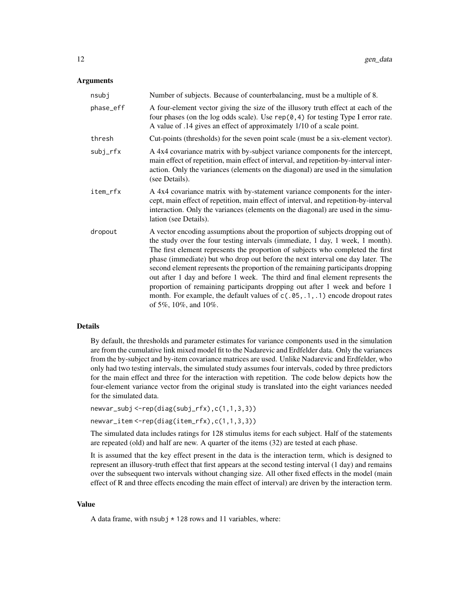### Arguments

| nsubj     | Number of subjects. Because of counterbalancing, must be a multiple of 8.                                                                                                                                                                                                                                                                                                                                                                                                                                                                                                                                                                                                                         |
|-----------|---------------------------------------------------------------------------------------------------------------------------------------------------------------------------------------------------------------------------------------------------------------------------------------------------------------------------------------------------------------------------------------------------------------------------------------------------------------------------------------------------------------------------------------------------------------------------------------------------------------------------------------------------------------------------------------------------|
| phase_eff | A four-element vector giving the size of the illusory truth effect at each of the<br>four phases (on the log odds scale). Use $rep(0, 4)$ for testing Type I error rate.<br>A value of .14 gives an effect of approximately 1/10 of a scale point.                                                                                                                                                                                                                                                                                                                                                                                                                                                |
| thresh    | Cut-points (thresholds) for the seven point scale (must be a six-element vector).                                                                                                                                                                                                                                                                                                                                                                                                                                                                                                                                                                                                                 |
| subj_rfx  | A 4x4 covariance matrix with by-subject variance components for the intercept,<br>main effect of repetition, main effect of interval, and repetition-by-interval inter-<br>action. Only the variances (elements on the diagonal) are used in the simulation<br>(see Details).                                                                                                                                                                                                                                                                                                                                                                                                                     |
| item_rfx  | A 4x4 covariance matrix with by-statement variance components for the inter-<br>cept, main effect of repetition, main effect of interval, and repetition-by-interval<br>interaction. Only the variances (elements on the diagonal) are used in the simu-<br>lation (see Details).                                                                                                                                                                                                                                                                                                                                                                                                                 |
| dropout   | A vector encoding assumptions about the proportion of subjects dropping out of<br>the study over the four testing intervals (immediate, 1 day, 1 week, 1 month).<br>The first element represents the proportion of subjects who completed the first<br>phase (immediate) but who drop out before the next interval one day later. The<br>second element represents the proportion of the remaining participants dropping<br>out after 1 day and before 1 week. The third and final element represents the<br>proportion of remaining participants dropping out after 1 week and before 1<br>month. For example, the default values of $c(.05,.1,.1)$ encode dropout rates<br>of 5%, 10%, and 10%. |

### Details

By default, the thresholds and parameter estimates for variance components used in the simulation are from the cumulative link mixed model fit to the Nadarevic and Erdfelder data. Only the variances from the by-subject and by-item covariance matrices are used. Unlike Nadarevic and Erdfelder, who only had two testing intervals, the simulated study assumes four intervals, coded by three predictors for the main effect and three for the interaction with repetition. The code below depicts how the four-element variance vector from the original study is translated into the eight variances needed for the simulated data.

```
newvar_subj <-rep(diag(subj_rfx),c(1,1,3,3))
newvar_item <-rep(diag(item_rfx),c(1,1,3,3))
```
The simulated data includes ratings for 128 stimulus items for each subject. Half of the statements are repeated (old) and half are new. A quarter of the items (32) are tested at each phase.

It is assumed that the key effect present in the data is the interaction term, which is designed to represent an illusory-truth effect that first appears at the second testing interval (1 day) and remains over the subsequent two intervals without changing size. All other fixed effects in the model (main effect of R and three effects encoding the main effect of interval) are driven by the interaction term.

#### Value

A data frame, with  $nsubj * 128$  rows and 11 variables, where: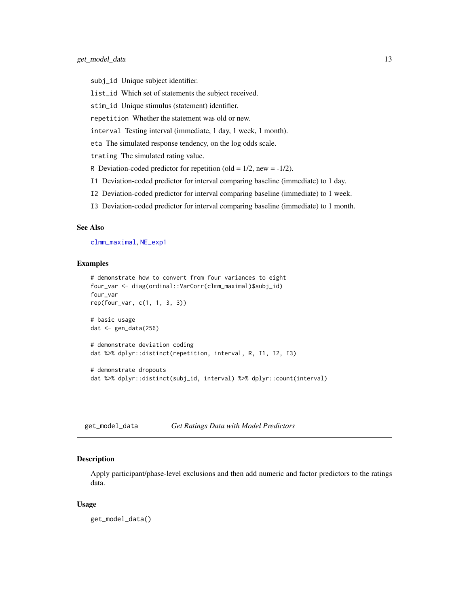- <span id="page-12-0"></span>subj\_id Unique subject identifier.
- list\_id Which set of statements the subject received.
- stim\_id Unique stimulus (statement) identifier.
- repetition Whether the statement was old or new.
- interval Testing interval (immediate, 1 day, 1 week, 1 month).
- eta The simulated response tendency, on the log odds scale.
- trating The simulated rating value.
- R Deviation-coded predictor for repetition (old =  $1/2$ , new =  $-1/2$ ).
- I1 Deviation-coded predictor for interval comparing baseline (immediate) to 1 day.
- I2 Deviation-coded predictor for interval comparing baseline (immediate) to 1 week.
- I3 Deviation-coded predictor for interval comparing baseline (immediate) to 1 month.

#### See Also

[clmm\\_maximal](#page-4-1), [NE\\_exp1](#page-14-1)

### Examples

```
# demonstrate how to convert from four variances to eight
four_var <- diag(ordinal::VarCorr(clmm_maximal)$subj_id)
four_var
rep(four_var, c(1, 1, 3, 3))
# basic usage
dat <- gen_data(256)
# demonstrate deviation coding
dat %>% dplyr::distinct(repetition, interval, R, I1, I2, I3)
# demonstrate dropouts
dat %>% dplyr::distinct(subj_id, interval) %>% dplyr::count(interval)
```
get\_model\_data *Get Ratings Data with Model Predictors*

### Description

Apply participant/phase-level exclusions and then add numeric and factor predictors to the ratings data.

#### Usage

get\_model\_data()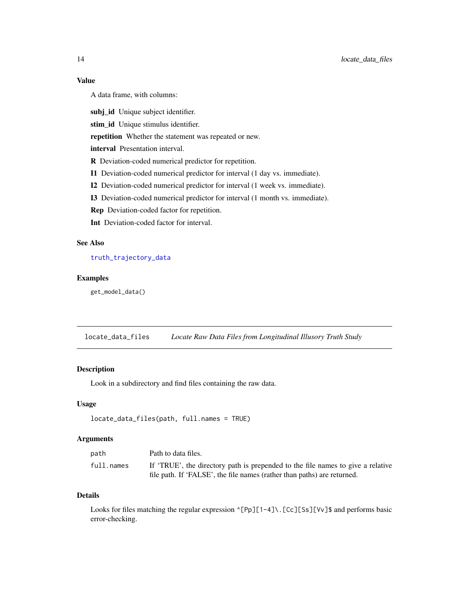### <span id="page-13-0"></span>Value

A data frame, with columns:

subj\_id Unique subject identifier.

stim\_id Unique stimulus identifier.

repetition Whether the statement was repeated or new.

interval Presentation interval.

R Deviation-coded numerical predictor for repetition.

I1 Deviation-coded numerical predictor for interval (1 day vs. immediate).

I2 Deviation-coded numerical predictor for interval (1 week vs. immediate).

I3 Deviation-coded numerical predictor for interval (1 month vs. immediate).

Rep Deviation-coded factor for repetition.

Int Deviation-coded factor for interval.

### See Also

### [truth\\_trajectory\\_data](#page-27-1)

### Examples

get\_model\_data()

locate\_data\_files *Locate Raw Data Files from Longitudinal Illusory Truth Study*

### Description

Look in a subdirectory and find files containing the raw data.

### Usage

```
locate_data_files(path, full.names = TRUE)
```
#### Arguments

| path       | Path to data files.                                                             |
|------------|---------------------------------------------------------------------------------|
| full.names | If 'TRUE', the directory path is prepended to the file names to give a relative |
|            | file path. If 'FALSE', the file names (rather than paths) are returned.         |

### Details

Looks for files matching the regular expression ^[Pp][1-4]\.[Cc][Ss][Vv]\$ and performs basic error-checking.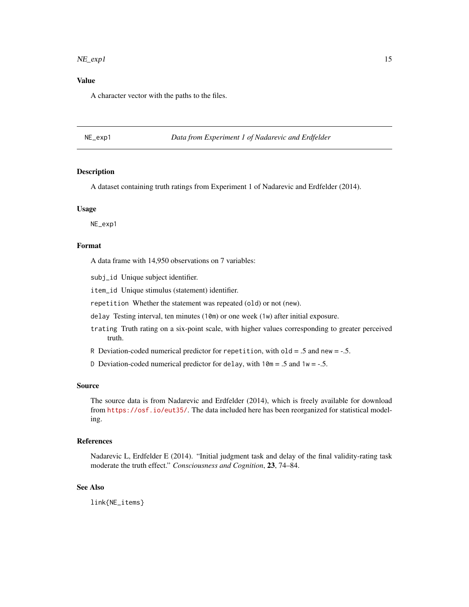#### <span id="page-14-0"></span> $NE\_exp1$  15

### Value

A character vector with the paths to the files.

<span id="page-14-1"></span>NE\_exp1 *Data from Experiment 1 of Nadarevic and Erdfelder*

#### Description

A dataset containing truth ratings from Experiment 1 of Nadarevic and Erdfelder (2014).

#### Usage

NE\_exp1

### Format

A data frame with 14,950 observations on 7 variables:

subj\_id Unique subject identifier.

item\_id Unique stimulus (statement) identifier.

repetition Whether the statement was repeated (old) or not (new).

delay Testing interval, ten minutes (10m) or one week (1w) after initial exposure.

- trating Truth rating on a six-point scale, with higher values corresponding to greater perceived truth.
- R Deviation-coded numerical predictor for repetition, with  $old = .5$  and new  $= -.5$ .
- D Deviation-coded numerical predictor for delay, with  $10m = .5$  and  $1w = -.5$ .

#### Source

The source data is from Nadarevic and Erdfelder (2014), which is freely available for download from <https://osf.io/eut35/>. The data included here has been reorganized for statistical modeling.

### References

Nadarevic L, Erdfelder E (2014). "Initial judgment task and delay of the final validity-rating task moderate the truth effect." *Consciousness and Cognition*, 23, 74–84.

### See Also

link{NE\_items}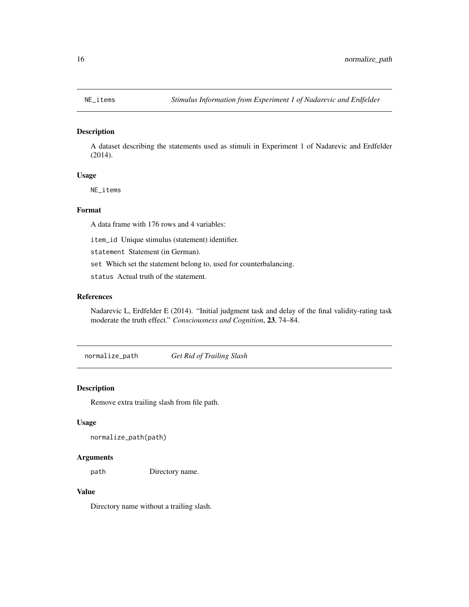<span id="page-15-0"></span>

A dataset describing the statements used as stimuli in Experiment 1 of Nadarevic and Erdfelder (2014).

### Usage

NE\_items

### Format

A data frame with 176 rows and 4 variables:

item\_id Unique stimulus (statement) identifier.

statement Statement (in German).

set Which set the statement belong to, used for counterbalancing.

status Actual truth of the statement.

### References

Nadarevic L, Erdfelder E (2014). "Initial judgment task and delay of the final validity-rating task moderate the truth effect." *Consciousness and Cognition*, 23, 74–84.

normalize\_path *Get Rid of Trailing Slash*

### Description

Remove extra trailing slash from file path.

#### Usage

```
normalize_path(path)
```
#### Arguments

path Directory name.

#### Value

Directory name without a trailing slash.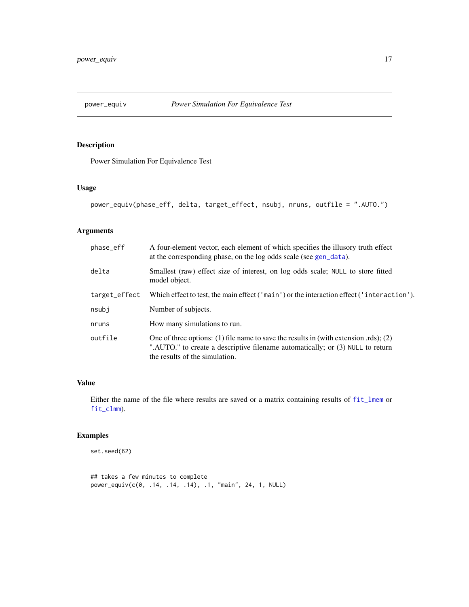<span id="page-16-0"></span>

Power Simulation For Equivalence Test

### Usage

```
power_equiv(phase_eff, delta, target_effect, nsubj, nruns, outfile = ".AUTO.")
```
### Arguments

| phase_eff     | A four-element vector, each element of which specifies the illusory truth effect<br>at the corresponding phase, on the log odds scale (see gen_data).                                                     |
|---------------|-----------------------------------------------------------------------------------------------------------------------------------------------------------------------------------------------------------|
| delta         | Smallest (raw) effect size of interest, on log odds scale; NULL to store fitted<br>model object.                                                                                                          |
| target_effect | Which effect to test, the main effect ('main') or the interaction effect ('interaction').                                                                                                                 |
| nsubj         | Number of subjects.                                                                                                                                                                                       |
| nruns         | How many simulations to run.                                                                                                                                                                              |
| outfile       | One of three options: (1) file name to save the results in (with extension .rds); (2)<br>".AUTO." to create a descriptive filename automatically; or (3) NULL to return<br>the results of the simulation. |

### Value

Either the name of the file where results are saved or a matrix containing results of [fit\\_lmem](#page-8-1) or [fit\\_clmm](#page-7-1)).

### Examples

set.seed(62)

## takes a few minutes to complete power\_equiv(c(0, .14, .14, .14), .1, "main", 24, 1, NULL)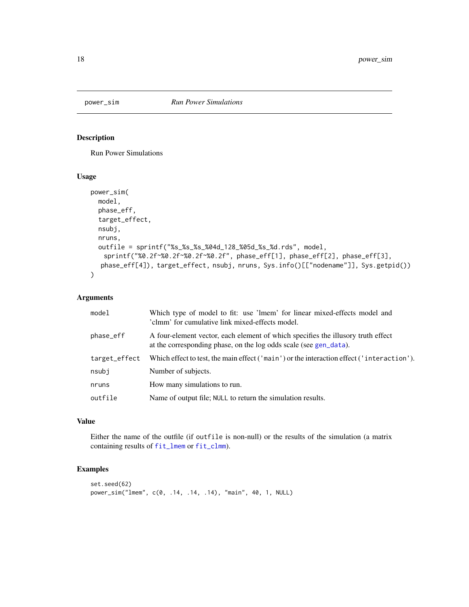<span id="page-17-1"></span><span id="page-17-0"></span>

Run Power Simulations

### Usage

```
power_sim(
 model,
 phase_eff,
  target_effect,
 nsubj,
  nruns,
  outfile = sprintf("%s_%s_%s_%04d_128_%05d_%s_%d.rds", model,
   sprintf("%0.2f~%0.2f~%0.2f~%0.2f", phase_eff[1], phase_eff[2], phase_eff[3],
  phase_eff[4]), target_effect, nsubj, nruns, Sys.info()[["nodename"]], Sys.getpid())
)
```
### Arguments

| model         | Which type of model to fit: use 'lmem' for linear mixed-effects model and<br>'clmm' for cumulative link mixed-effects model.                          |
|---------------|-------------------------------------------------------------------------------------------------------------------------------------------------------|
| phase_eff     | A four-element vector, each element of which specifies the illusory truth effect<br>at the corresponding phase, on the log odds scale (see gen_data). |
| target_effect | Which effect to test, the main effect ('main') or the interaction effect ('interaction').                                                             |
| nsubj         | Number of subjects.                                                                                                                                   |
| nruns         | How many simulations to run.                                                                                                                          |
| outfile       | Name of output file; NULL to return the simulation results.                                                                                           |
|               |                                                                                                                                                       |

### Value

Either the name of the outfile (if outfile is non-null) or the results of the simulation (a matrix containing results of [fit\\_lmem](#page-8-1) or [fit\\_clmm](#page-7-1)).

## Examples

```
set.seed(62)
power_sim("lmem", c(0, .14, .14, .14), "main", 40, 1, NULL)
```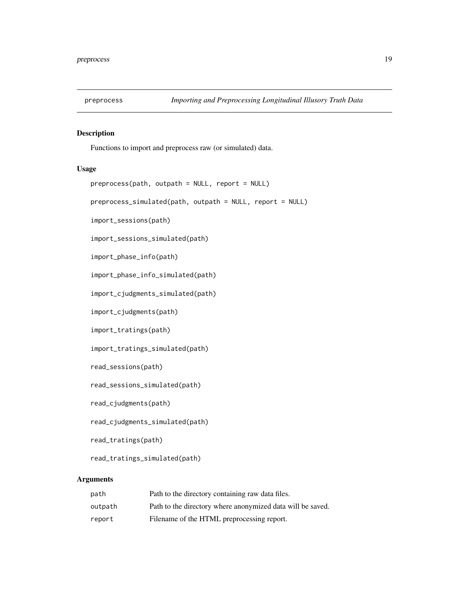<span id="page-18-1"></span><span id="page-18-0"></span>

Functions to import and preprocess raw (or simulated) data.

### Usage

```
preprocess(path, outpath = NULL, report = NULL)
```
preprocess\_simulated(path, outpath = NULL, report = NULL)

import\_sessions(path)

import\_sessions\_simulated(path)

import\_phase\_info(path)

import\_phase\_info\_simulated(path)

import\_cjudgments\_simulated(path)

import\_cjudgments(path)

import\_tratings(path)

import\_tratings\_simulated(path)

read\_sessions(path)

read\_sessions\_simulated(path)

read\_cjudgments(path)

read\_cjudgments\_simulated(path)

read\_tratings(path)

read\_tratings\_simulated(path)

#### **Arguments**

| path    | Path to the directory containing raw data files.           |
|---------|------------------------------------------------------------|
| outpath | Path to the directory where anonymized data will be saved. |
| report  | Filename of the HTML preprocessing report.                 |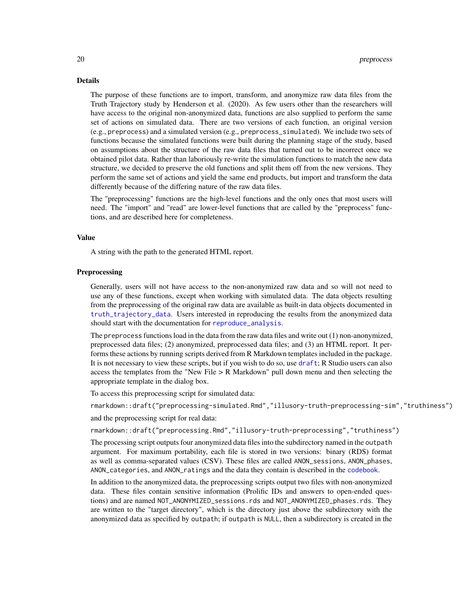### <span id="page-19-0"></span>Details

The purpose of these functions are to import, transform, and anonymize raw data files from the Truth Trajectory study by Henderson et al. (2020). As few users other than the researchers will have access to the original non-anonymized data, functions are also supplied to perform the same set of actions on simulated data. There are two versions of each function, an original version (e.g., preprocess) and a simulated version (e.g., preprocess\_simulated). We include two sets of functions because the simulated functions were built during the planning stage of the study, based on assumptions about the structure of the raw data files that turned out to be incorrect once we obtained pilot data. Rather than laboriously re-write the simulation functions to match the new data structure, we decided to preserve the old functions and split them off from the new versions. They perform the same set of actions and yield the same end products, but import and transform the data differently because of the differing nature of the raw data files.

The "preprocessing" functions are the high-level functions and the only ones that most users will need. The "import" and "read" are lower-level functions that are called by the "preprocess" functions, and are described here for completeness.

#### Value

A string with the path to the generated HTML report.

#### **Preprocessing**

Generally, users will not have access to the non-anonymized raw data and so will not need to use any of these functions, except when working with simulated data. The data objects resulting from the preprocessing of the original raw data are available as built-in data objects documented in [truth\\_trajectory\\_data](#page-27-1). Users interested in reproducing the results from the anonymized data should start with the documentation for [reproduce\\_analysis](#page-21-1).

The preprocess functions load in the data from the raw data files and write out (1) non-anonymized, preprocessed data files; (2) anonymized, preprocessed data files; and (3) an HTML report. It performs these actions by running scripts derived from R Markdown templates included in the package. It is not necessary to view these scripts, but if you wish to do so, use [draft](#page-0-0); R Studio users can also access the templates from the "New File  $> R$  Markdown" pull down menu and then selecting the appropriate template in the dialog box.

To access this preprocessing script for simulated data:

rmarkdown::draft("preprocessing-simulated.Rmd","illusory-truth-preprocessing-sim","truthiness")

and the preprocessing script for real data:

rmarkdown::draft("preprocessing.Rmd","illusory-truth-preprocessing","truthiness")

The processing script outputs four anonymized data files into the subdirectory named in the outpath argument. For maximum portability, each file is stored in two versions: binary (RDS) format as well as comma-separated values (CSV). These files are called ANON\_sessions, ANON\_phases, ANON\_categories, and ANON\_ratings and the data they contain is described in the [codebook](#page-4-2).

In addition to the anonymized data, the preprocessing scripts output two files with non-anonymized data. These files contain sensitive information (Prolific IDs and answers to open-ended questions) and are named NOT\_ANONYMIZED\_sessions.rds and NOT\_ANONYMIZED\_phases.rds. They are written to the "target directory", which is the directory just above the subdirectory with the anonymized data as specified by outpath; if outpath is NULL, then a subdirectory is created in the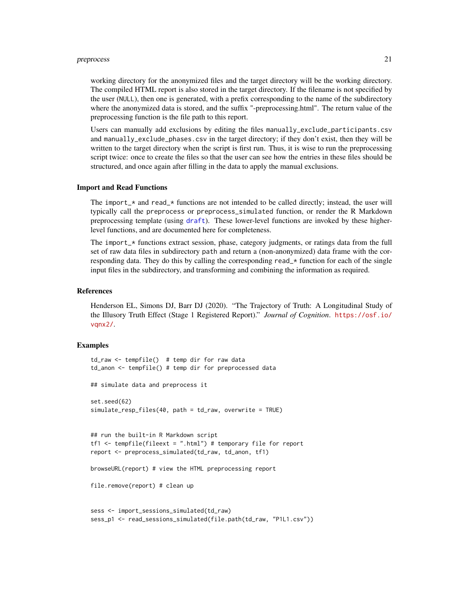#### <span id="page-20-0"></span>preprocess 21

working directory for the anonymized files and the target directory will be the working directory. The compiled HTML report is also stored in the target directory. If the filename is not specified by the user (NULL), then one is generated, with a prefix corresponding to the name of the subdirectory where the anonymized data is stored, and the suffix "-preprocessing.html". The return value of the preprocessing function is the file path to this report.

Users can manually add exclusions by editing the files manually\_exclude\_participants.csv and manually\_exclude\_phases.csv in the target directory; if they don't exist, then they will be written to the target directory when the script is first run. Thus, it is wise to run the preprocessing script twice: once to create the files so that the user can see how the entries in these files should be structured, and once again after filling in the data to apply the manual exclusions.

#### Import and Read Functions

The import  $\star$  and read  $\star$  functions are not intended to be called directly; instead, the user will typically call the preprocess or preprocess\_simulated function, or render the R Markdown preprocessing template (using [draft](#page-0-0)). These lower-level functions are invoked by these higherlevel functions, and are documented here for completeness.

The import  $\star$  functions extract session, phase, category judgments, or ratings data from the full set of raw data files in subdirectory path and return a (non-anonymized) data frame with the corresponding data. They do this by calling the corresponding read\_\* function for each of the single input files in the subdirectory, and transforming and combining the information as required.

### References

Henderson EL, Simons DJ, Barr DJ (2020). "The Trajectory of Truth: A Longitudinal Study of the Illusory Truth Effect (Stage 1 Registered Report)." *Journal of Cognition*. [https://osf.io/](https://osf.io/vqnx2/) vanx2/.

### Examples

```
td_raw <- tempfile() # temp dir for raw data
td_anon <- tempfile() # temp dir for preprocessed data
## simulate data and preprocess it
set.seed(62)
simulate_resp_files(40, path = td_raw, overwrite = TRUE)
## run the built-in R Markdown script
tf1 \leftarrow tempfile(fileext = ".html") # temporary file for reportreport <- preprocess_simulated(td_raw, td_anon, tf1)
browseURL(report) # view the HTML preprocessing report
file.remove(report) # clean up
sess <- import_sessions_simulated(td_raw)
sess_p1 <- read_sessions_simulated(file.path(td_raw, "P1L1.csv"))
```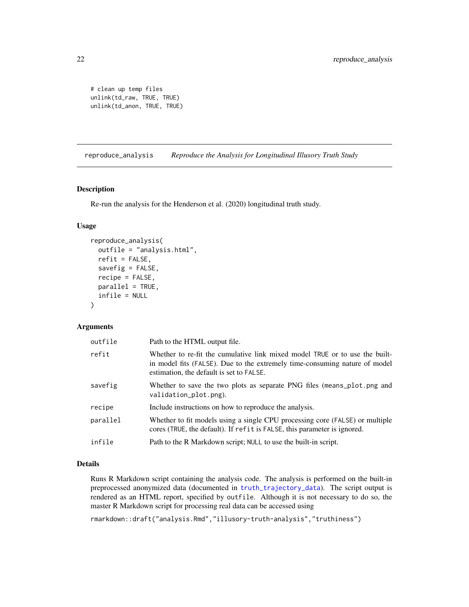```
# clean up temp files
unlink(td_raw, TRUE, TRUE)
unlink(td_anon, TRUE, TRUE)
```
<span id="page-21-1"></span>reproduce\_analysis *Reproduce the Analysis for Longitudinal Illusory Truth Study*

### Description

Re-run the analysis for the Henderson et al. (2020) longitudinal truth study.

### Usage

```
reproduce_analysis(
  outfile = "analysis.html",
  refit = FALSE,
  savefig = FALSE,
  recipe = FALSE,
 parallel = TRUE,
  infile = NULL
\mathcal{L}
```
#### Arguments

| outfile  | Path to the HTML output file.                                                                                                                                                                         |
|----------|-------------------------------------------------------------------------------------------------------------------------------------------------------------------------------------------------------|
| refit    | Whether to re-fit the cumulative link mixed model TRUE or to use the built-<br>in model fits (FALSE). Due to the extremely time-consuming nature of model<br>estimation, the default is set to FALSE. |
| savefig  | Whether to save the two plots as separate PNG files (means_plot.png and<br>validation_plot.png).                                                                                                      |
| recipe   | Include instructions on how to reproduce the analysis.                                                                                                                                                |
| parallel | Whether to fit models using a single CPU processing core (FALSE) or multiple<br>cores (TRUE, the default). If refit is FALSE, this parameter is ignored.                                              |
| infile   | Path to the R Markdown script; NULL to use the built-in script.                                                                                                                                       |

### Details

Runs R Markdown script containing the analysis code. The analysis is performed on the built-in preprocessed anonymized data (documented in [truth\\_trajectory\\_data](#page-27-1)). The script output is rendered as an HTML report, specified by outfile. Although it is not necessary to do so, the master R Markdown script for processing real data can be accessed using

rmarkdown::draft("analysis.Rmd","illusory-truth-analysis","truthiness")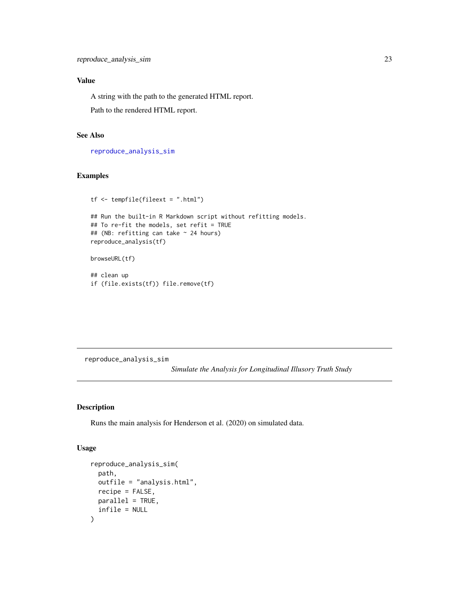### <span id="page-22-0"></span>Value

A string with the path to the generated HTML report.

Path to the rendered HTML report.

### See Also

[reproduce\\_analysis\\_sim](#page-22-1)

### Examples

```
tf <- tempfile(fileext = ".html")
## Run the built-in R Markdown script without refitting models.
## To re-fit the models, set refit = TRUE
## (NB: refitting can take ~ 24 hours)
reproduce_analysis(tf)
browseURL(tf)
## clean up
```

```
if (file.exists(tf)) file.remove(tf)
```
<span id="page-22-1"></span>reproduce\_analysis\_sim

*Simulate the Analysis for Longitudinal Illusory Truth Study*

### Description

Runs the main analysis for Henderson et al. (2020) on simulated data.

### Usage

```
reproduce_analysis_sim(
  path,
  outfile = "analysis.html",
  recipe = FALSE,
 parallel = TRUE,
  infile = NULL
\mathcal{E}
```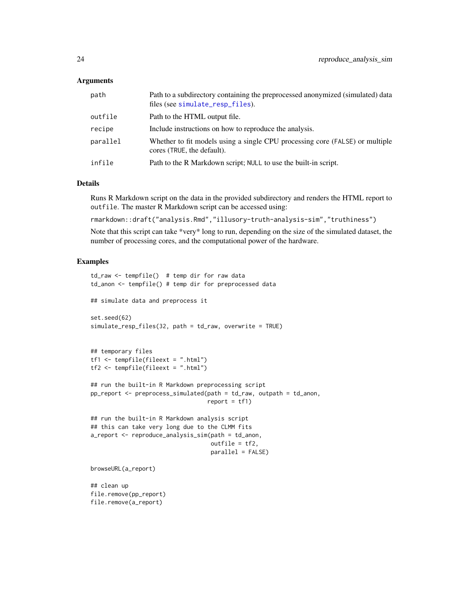### <span id="page-23-0"></span>Arguments

| path     | Path to a subdirectory containing the preprocessed anonymized (simulated) data<br>files (see simulate_resp_files). |
|----------|--------------------------------------------------------------------------------------------------------------------|
| outfile  | Path to the HTML output file.                                                                                      |
| recipe   | Include instructions on how to reproduce the analysis.                                                             |
| parallel | Whether to fit models using a single CPU processing core (FALSE) or multiple<br>cores (TRUE, the default).         |
| infile   | Path to the R Markdown script; NULL to use the built-in script.                                                    |

### **Details**

Runs R Markdown script on the data in the provided subdirectory and renders the HTML report to outfile. The master R Markdown script can be accessed using:

rmarkdown::draft("analysis.Rmd","illusory-truth-analysis-sim","truthiness")

Note that this script can take \*very\* long to run, depending on the size of the simulated dataset, the number of processing cores, and the computational power of the hardware.

### Examples

```
td_raw <- tempfile() # temp dir for raw data
td_anon <- tempfile() # temp dir for preprocessed data
## simulate data and preprocess it
set.seed(62)
simulate_resp_files(32, path = td_raw, overwrite = TRUE)
## temporary files
tf1 <- tempfile(fileext = ".html")
tf2 \leq - tempfile(fileext = ".html")
## run the built-in R Markdown preprocessing script
pp_report <- preprocess_simulated(path = td_raw, outpath = td_anon,
                                  report = tf1)## run the built-in R Markdown analysis script
## this can take very long due to the CLMM fits
a_report <- reproduce_analysis_sim(path = td_anon,
                                   outfile = tf2,
                                   parallel = FALSE)
browseURL(a_report)
## clean up
file.remove(pp_report)
```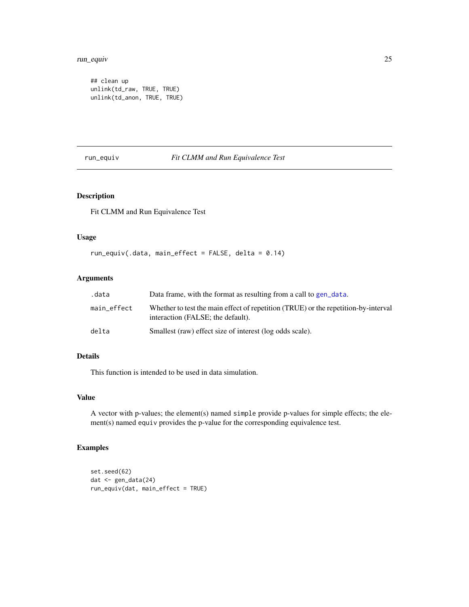#### <span id="page-24-0"></span>run\_equiv 25

## clean up unlink(td\_raw, TRUE, TRUE) unlink(td\_anon, TRUE, TRUE)

### run\_equiv *Fit CLMM and Run Equivalence Test*

### Description

Fit CLMM and Run Equivalence Test

### Usage

run\_equiv(.data, main\_effect = FALSE, delta = 0.14)

### Arguments

| .data       | Data frame, with the format as resulting from a call to gen_data.                                                       |
|-------------|-------------------------------------------------------------------------------------------------------------------------|
| main effect | Whether to test the main effect of repetition (TRUE) or the repetition-by-interval<br>interaction (FALSE; the default). |
| delta       | Smallest (raw) effect size of interest (log odds scale).                                                                |

### Details

This function is intended to be used in data simulation.

### Value

A vector with p-values; the element(s) named simple provide p-values for simple effects; the element(s) named equiv provides the p-value for the corresponding equivalence test.

### Examples

```
set.seed(62)
dat <- gen_data(24)
run_equiv(dat, main_effect = TRUE)
```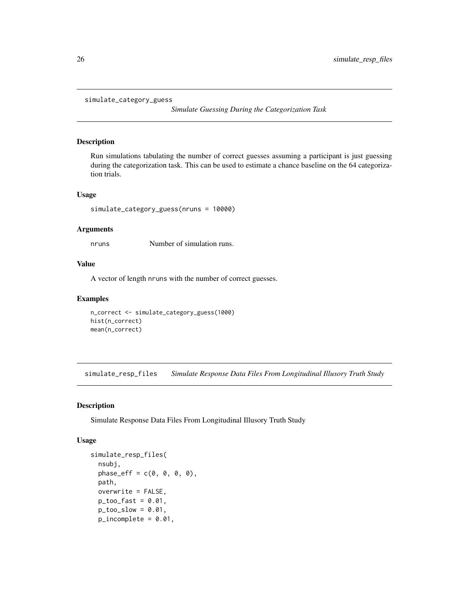```
simulate_category_guess
```
*Simulate Guessing During the Categorization Task*

#### Description

Run simulations tabulating the number of correct guesses assuming a participant is just guessing during the categorization task. This can be used to estimate a chance baseline on the 64 categorization trials.

### Usage

```
simulate_category_guess(nruns = 10000)
```
#### Arguments

nruns Number of simulation runs.

### Value

A vector of length nruns with the number of correct guesses.

### Examples

```
n_correct <- simulate_category_guess(1000)
hist(n_correct)
mean(n_correct)
```
<span id="page-25-1"></span>simulate\_resp\_files *Simulate Response Data Files From Longitudinal Illusory Truth Study*

### Description

Simulate Response Data Files From Longitudinal Illusory Truth Study

### Usage

```
simulate_resp_files(
  nsubj,
 phase_{eff} = c(0, 0, 0, 0),
 path,
 overwrite = FALSE,
 p\_too\_fast = 0.01,
 p\_too\_slow = 0.01,
 p\_incomplete = 0.01,
```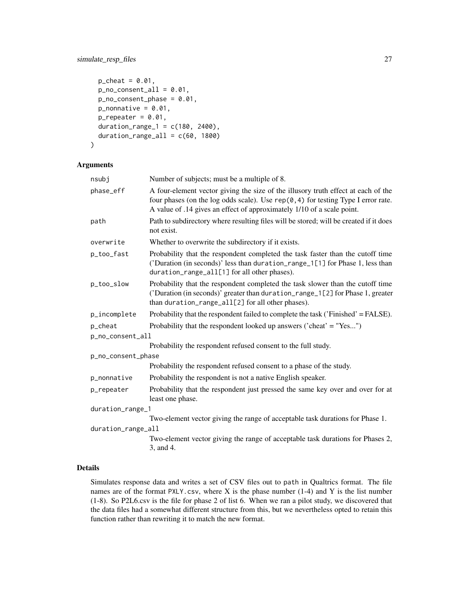### simulate\_resp\_files 27

```
p_{\text{c}}heat = 0.01,
 p_{no\_consent\_all} = 0.01,
 p\_no\_constant\_phase = 0.01,
 p_{nonnative} = 0.01,
  p_repeated = 0.01,
  duration_range_1 = c(180, 2400),
  duration_range_all = c(60, 1800))
```
### Arguments

| nsubj              | Number of subjects; must be a multiple of 8.                                                                                                                                                                                                       |  |  |
|--------------------|----------------------------------------------------------------------------------------------------------------------------------------------------------------------------------------------------------------------------------------------------|--|--|
| phase_eff          | A four-element vector giving the size of the illusory truth effect at each of the<br>four phases (on the log odds scale). Use $rep(0, 4)$ for testing Type I error rate.<br>A value of .14 gives an effect of approximately 1/10 of a scale point. |  |  |
| path               | Path to subdirectory where resulting files will be stored; will be created if it does<br>not exist.                                                                                                                                                |  |  |
| overwrite          | Whether to overwrite the subdirectory if it exists.                                                                                                                                                                                                |  |  |
| p_too_fast         | Probability that the respondent completed the task faster than the cutoff time<br>('Duration (in seconds)' less than duration_range_1[1] for Phase 1, less than<br>duration_range_all[1] for all other phases).                                    |  |  |
| p_too_slow         | Probability that the respondent completed the task slower than the cutoff time<br>('Duration (in seconds)' greater than duration_range_1[2] for Phase 1, greater<br>than duration_range_all[2] for all other phases).                              |  |  |
| p_incomplete       | Probability that the respondent failed to complete the task ('Finished' = FALSE).                                                                                                                                                                  |  |  |
| p_cheat            | Probability that the respondent looked up answers ('cheat' = "Yes")                                                                                                                                                                                |  |  |
| p_no_consent_all   |                                                                                                                                                                                                                                                    |  |  |
|                    | Probability the respondent refused consent to the full study.                                                                                                                                                                                      |  |  |
| p_no_consent_phase |                                                                                                                                                                                                                                                    |  |  |
|                    | Probability the respondent refused consent to a phase of the study.                                                                                                                                                                                |  |  |
| p_nonnative        | Probability the respondent is not a native English speaker.                                                                                                                                                                                        |  |  |
| p_repeater         | Probability that the respondent just pressed the same key over and over for at<br>least one phase.                                                                                                                                                 |  |  |
|                    | duration_range_1                                                                                                                                                                                                                                   |  |  |
|                    | Two-element vector giving the range of acceptable task durations for Phase 1.                                                                                                                                                                      |  |  |
| duration_range_all |                                                                                                                                                                                                                                                    |  |  |
|                    | Two-element vector giving the range of acceptable task durations for Phases 2,<br>3, and 4.                                                                                                                                                        |  |  |

### Details

Simulates response data and writes a set of CSV files out to path in Qualtrics format. The file names are of the format  $PXLY.csv$ , where X is the phase number (1-4) and Y is the list number (1-8). So P2L6.csv is the file for phase 2 of list 6. When we ran a pilot study, we discovered that the data files had a somewhat different structure from this, but we nevertheless opted to retain this function rather than rewriting it to match the new format.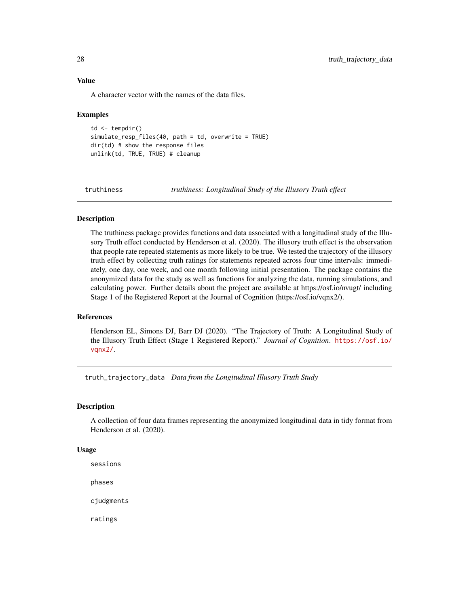### <span id="page-27-0"></span>Value

A character vector with the names of the data files.

#### Examples

```
td \leftarrow tempdir()simulate_resp_files(40, path = td, overwrite = TRUE)
dir(td) # show the response files
unlink(td, TRUE, TRUE) # cleanup
```
truthiness *truthiness: Longitudinal Study of the Illusory Truth effect*

### Description

The truthiness package provides functions and data associated with a longitudinal study of the Illusory Truth effect conducted by Henderson et al. (2020). The illusory truth effect is the observation that people rate repeated statements as more likely to be true. We tested the trajectory of the illusory truth effect by collecting truth ratings for statements repeated across four time intervals: immediately, one day, one week, and one month following initial presentation. The package contains the anonymized data for the study as well as functions for analyzing the data, running simulations, and calculating power. Further details about the project are available at https://osf.io/nvugt/ including Stage 1 of the Registered Report at the Journal of Cognition (https://osf.io/vqnx2/).

#### References

Henderson EL, Simons DJ, Barr DJ (2020). "The Trajectory of Truth: A Longitudinal Study of the Illusory Truth Effect (Stage 1 Registered Report)." *Journal of Cognition*. [https://osf.io/](https://osf.io/vqnx2/) [vqnx2/](https://osf.io/vqnx2/).

<span id="page-27-1"></span>truth\_trajectory\_data *Data from the Longitudinal Illusory Truth Study*

#### Description

A collection of four data frames representing the anonymized longitudinal data in tidy format from Henderson et al. (2020).

#### Usage

sessions

phases

cjudgments

ratings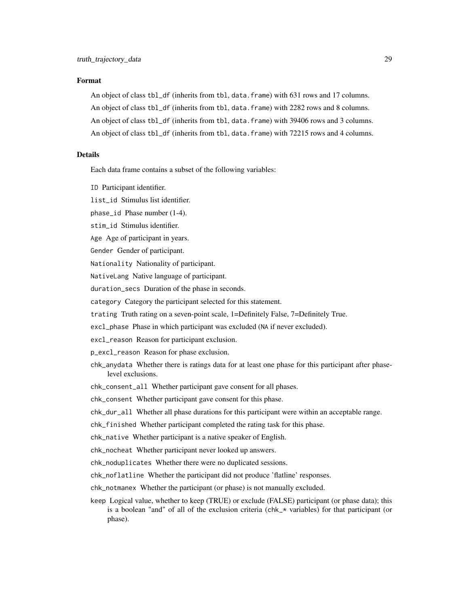#### Format

An object of class tbl\_df (inherits from tbl, data.frame) with 631 rows and 17 columns. An object of class tbl\_df (inherits from tbl, data.frame) with 2282 rows and 8 columns. An object of class tbl\_df (inherits from tbl, data.frame) with 39406 rows and 3 columns. An object of class tbl\_df (inherits from tbl, data.frame) with 72215 rows and 4 columns.

### Details

Each data frame contains a subset of the following variables:

ID Participant identifier.

list\_id Stimulus list identifier.

phase\_id Phase number (1-4).

stim\_id Stimulus identifier.

Age Age of participant in years.

Gender Gender of participant.

Nationality Nationality of participant.

NativeLang Native language of participant.

duration\_secs Duration of the phase in seconds.

category Category the participant selected for this statement.

trating Truth rating on a seven-point scale, 1=Definitely False, 7=Definitely True.

excl\_phase Phase in which participant was excluded (NA if never excluded).

excl\_reason Reason for participant exclusion.

p\_excl\_reason Reason for phase exclusion.

chk\_anydata Whether there is ratings data for at least one phase for this participant after phaselevel exclusions.

chk\_consent\_all Whether participant gave consent for all phases.

chk\_consent Whether participant gave consent for this phase.

chk\_dur\_all Whether all phase durations for this participant were within an acceptable range.

chk\_finished Whether participant completed the rating task for this phase.

chk\_native Whether participant is a native speaker of English.

chk\_nocheat Whether participant never looked up answers.

chk\_noduplicates Whether there were no duplicated sessions.

chk\_noflatline Whether the participant did not produce 'flatline' responses.

chk\_notmanex Whether the participant (or phase) is not manually excluded.

keep Logical value, whether to keep (TRUE) or exclude (FALSE) participant (or phase data); this is a boolean "and" of all of the exclusion criteria (chk\_\* variables) for that participant (or phase).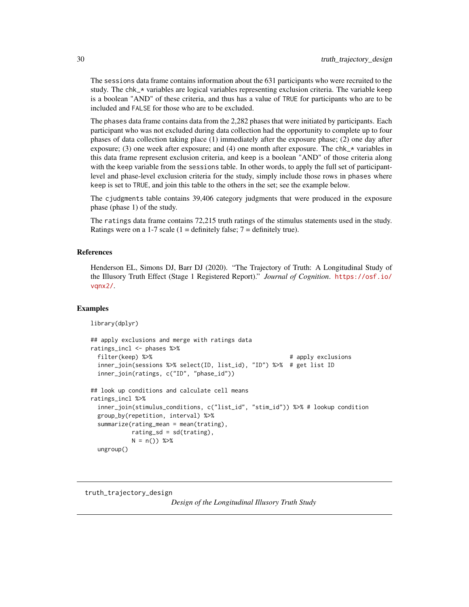The sessions data frame contains information about the 631 participants who were recruited to the study. The chk $\star$  variables are logical variables representing exclusion criteria. The variable keep is a boolean "AND" of these criteria, and thus has a value of TRUE for participants who are to be included and FALSE for those who are to be excluded.

The phases data frame contains data from the 2,282 phases that were initiated by participants. Each participant who was not excluded during data collection had the opportunity to complete up to four phases of data collection taking place (1) immediately after the exposure phase; (2) one day after exposure; (3) one week after exposure; and (4) one month after exposure. The  $\text{chk}_x$  variables in this data frame represent exclusion criteria, and keep is a boolean "AND" of those criteria along with the keep variable from the sessions table. In other words, to apply the full set of participantlevel and phase-level exclusion criteria for the study, simply include those rows in phases where keep is set to TRUE, and join this table to the others in the set; see the example below.

The cjudgments table contains 39,406 category judgments that were produced in the exposure phase (phase 1) of the study.

The ratings data frame contains 72,215 truth ratings of the stimulus statements used in the study. Ratings were on a 1-7 scale (1 = definitely false;  $7 =$  definitely true).

### References

Henderson EL, Simons DJ, Barr DJ (2020). "The Trajectory of Truth: A Longitudinal Study of the Illusory Truth Effect (Stage 1 Registered Report)." *Journal of Cognition*. [https://osf.io/](https://osf.io/vqnx2/) [vqnx2/](https://osf.io/vqnx2/).

#### Examples

```
library(dplyr)
```

```
## apply exclusions and merge with ratings data
ratings_incl <- phases %>%
 filter(keep) %>% # apply exclusions
 inner_join(sessions %>% select(ID, list_id), "ID") %>% # get list ID
 inner_join(ratings, c("ID", "phase_id"))
## look up conditions and calculate cell means
ratings_incl %>%
 inner_join(stimulus_conditions, c("list_id", "stim_id")) %>% # lookup condition
 group_by(repetition, interval) %>%
 summarize(rating_mean = mean(trating),
           rating_sd = sd(traing),
           N = n() %>%
 ungroup()
```
truth\_trajectory\_design

*Design of the Longitudinal Illusory Truth Study*

<span id="page-29-0"></span>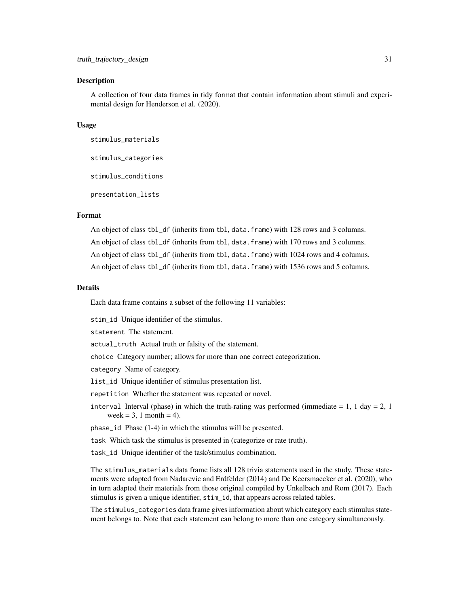A collection of four data frames in tidy format that contain information about stimuli and experimental design for Henderson et al. (2020).

#### Usage

```
stimulus_materials
```
stimulus\_categories

stimulus\_conditions

presentation\_lists

### Format

An object of class tbl\_df (inherits from tbl, data.frame) with 128 rows and 3 columns. An object of class tbl\_df (inherits from tbl, data.frame) with 170 rows and 3 columns. An object of class tbl\_df (inherits from tbl, data.frame) with 1024 rows and 4 columns. An object of class tbl\_df (inherits from tbl, data.frame) with 1536 rows and 5 columns.

#### Details

Each data frame contains a subset of the following 11 variables:

stim\_id Unique identifier of the stimulus.

statement The statement.

actual\_truth Actual truth or falsity of the statement.

choice Category number; allows for more than one correct categorization.

category Name of category.

list\_id Unique identifier of stimulus presentation list.

repetition Whether the statement was repeated or novel.

interval Interval (phase) in which the truth-rating was performed (immediate  $= 1, 1$  day  $= 2, 1$ ) week = 3, 1 month = 4).

phase\_id Phase (1-4) in which the stimulus will be presented.

task Which task the stimulus is presented in (categorize or rate truth).

task\_id Unique identifier of the task/stimulus combination.

The stimulus\_materials data frame lists all 128 trivia statements used in the study. These statements were adapted from Nadarevic and Erdfelder (2014) and De Keersmaecker et al. (2020), who in turn adapted their materials from those original compiled by Unkelbach and Rom (2017). Each stimulus is given a unique identifier, stim\_id, that appears across related tables.

The stimulus\_categories data frame gives information about which category each stimulus statement belongs to. Note that each statement can belong to more than one category simultaneously.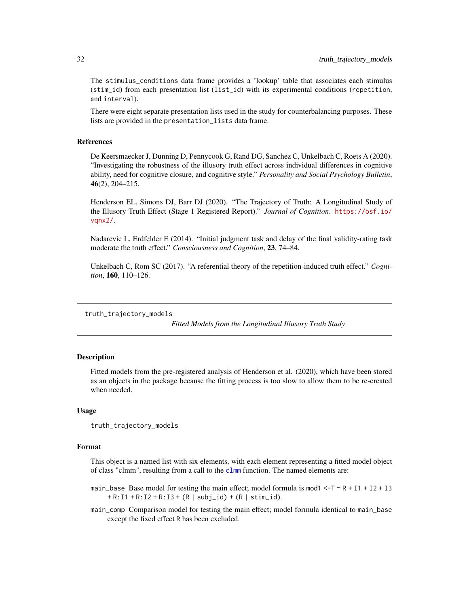<span id="page-31-0"></span>The stimulus\_conditions data frame provides a 'lookup' table that associates each stimulus (stim\_id) from each presentation list (list\_id) with its experimental conditions (repetition, and interval).

There were eight separate presentation lists used in the study for counterbalancing purposes. These lists are provided in the presentation\_lists data frame.

#### References

De Keersmaecker J, Dunning D, Pennycook G, Rand DG, Sanchez C, Unkelbach C, Roets A (2020). "Investigating the robustness of the illusory truth effect across individual differences in cognitive ability, need for cognitive closure, and cognitive style." *Personality and Social Psychology Bulletin*, 46(2), 204–215.

Henderson EL, Simons DJ, Barr DJ (2020). "The Trajectory of Truth: A Longitudinal Study of the Illusory Truth Effect (Stage 1 Registered Report)." *Journal of Cognition*. [https://osf.io/](https://osf.io/vqnx2/) vanx2/.

Nadarevic L, Erdfelder E (2014). "Initial judgment task and delay of the final validity-rating task moderate the truth effect." *Consciousness and Cognition*, 23, 74–84.

Unkelbach C, Rom SC (2017). "A referential theory of the repetition-induced truth effect." *Cognition*, 160, 110–126.

truth\_trajectory\_models

*Fitted Models from the Longitudinal Illusory Truth Study*

### Description

Fitted models from the pre-registered analysis of Henderson et al. (2020), which have been stored as an objects in the package because the fitting process is too slow to allow them to be re-created when needed.

#### Usage

```
truth_trajectory_models
```
#### Format

This object is a named list with six elements, with each element representing a fitted model object of class "[clmm](#page-0-0)", resulting from a call to the clmm function. The named elements are:

- main\_base Base model for testing the main effect; model formula is mod1  $\leq$ -T  $\leq$  R + I1 + I2 + I3  $+ R: I1 + R: I2 + R: I3 + (R | subj_id) + (R | stim_id).$
- main\_comp Comparison model for testing the main effect; model formula identical to main\_base except the fixed effect R has been excluded.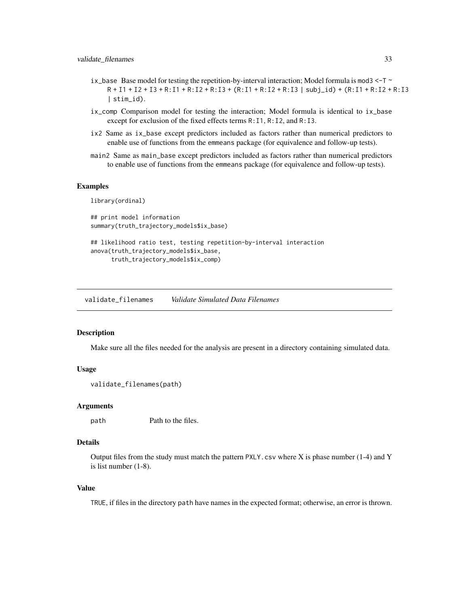- <span id="page-32-0"></span>ix\_base Base model for testing the repetition-by-interval interaction; Model formula is mod3 <-T  $\sim$  $R + I1 + I2 + I3 + R$ :  $I1 + R$ :  $I2 + R$ :  $I3 + (R$ :  $I1 + R$ :  $I2 + R$ :  $I3$  | subj\_id) +  $(R$ :  $I1 + R$ :  $I2 + R$ :  $I3$ | stim\_id).
- ix\_comp Comparison model for testing the interaction; Model formula is identical to ix\_base except for exclusion of the fixed effects terms R:I1, R:I2, and R:I3.
- ix2 Same as ix\_base except predictors included as factors rather than numerical predictors to enable use of functions from the emmeans package (for equivalence and follow-up tests).
- main2 Same as main\_base except predictors included as factors rather than numerical predictors to enable use of functions from the emmeans package (for equivalence and follow-up tests).

#### Examples

library(ordinal)

```
## print model information
summary(truth_trajectory_models$ix_base)
```

```
## likelihood ratio test, testing repetition-by-interval interaction
anova(truth_trajectory_models$ix_base,
     truth_trajectory_models$ix_comp)
```
validate\_filenames *Validate Simulated Data Filenames*

### **Description**

Make sure all the files needed for the analysis are present in a directory containing simulated data.

#### Usage

```
validate_filenames(path)
```
#### Arguments

path Path to the files.

### Details

Output files from the study must match the pattern PXLY.csv where X is phase number (1-4) and Y is list number (1-8).

#### Value

TRUE, if files in the directory path have names in the expected format; otherwise, an error is thrown.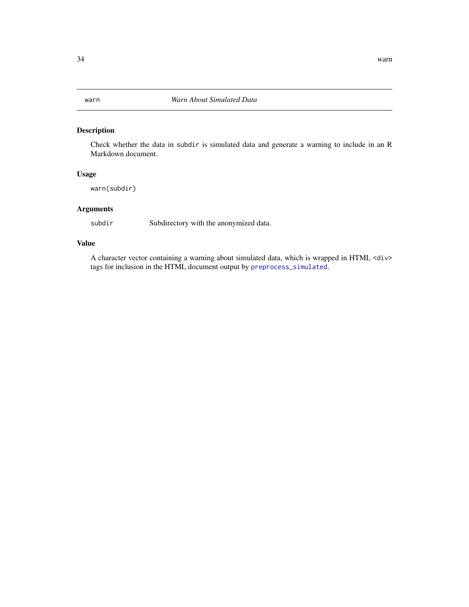<span id="page-33-0"></span>Check whether the data in subdir is simulated data and generate a warning to include in an R Markdown document.

### Usage

warn(subdir)

### Arguments

subdir Subdirectory with the anonymized data.

### Value

A character vector containing a warning about simulated data, which is wrapped in HTML <div> tags for inclusion in the HTML document output by [preprocess\\_simulated](#page-18-1).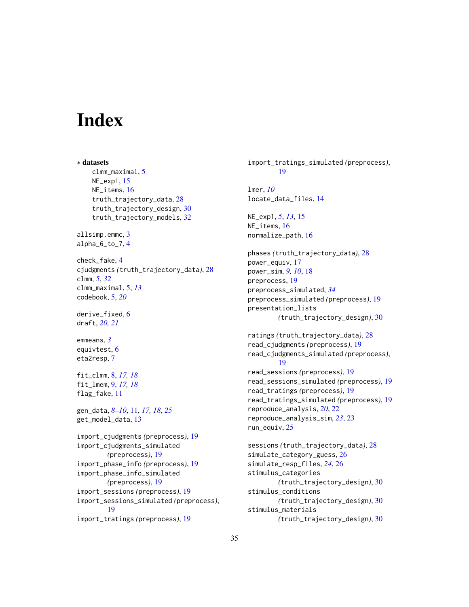# <span id="page-34-0"></span>**Index**

∗ datasets clmm\_maximal, [5](#page-4-0) NE\_exp1, [15](#page-14-0) NE\_items, [16](#page-15-0) truth\_trajectory\_data, [28](#page-27-0) truth\_trajectory\_design, [30](#page-29-0) truth\_trajectory\_models, [32](#page-31-0) allsimp.emmc, [3](#page-2-0) alpha\_6\_to\_7, [4](#page-3-0) check\_fake, [4](#page-3-0) cjudgments *(*truth\_trajectory\_data*)*, [28](#page-27-0) clmm, *[5](#page-4-0)*, *[32](#page-31-0)* clmm\_maximal, [5,](#page-4-0) *[13](#page-12-0)* codebook, [5,](#page-4-0) *[20](#page-19-0)* derive\_fixed, [6](#page-5-0) draft, *[20,](#page-19-0) [21](#page-20-0)* emmeans, *[3](#page-2-0)* equivtest, [6](#page-5-0) eta2resp, [7](#page-6-0) fit\_clmm, [8,](#page-7-0) *[17,](#page-16-0) [18](#page-17-0)* fit\_lmem, [9,](#page-8-0) *[17,](#page-16-0) [18](#page-17-0)* flag\_fake, [11](#page-10-0) gen\_data, *[8](#page-7-0)[–10](#page-9-0)*, [11,](#page-10-0) *[17,](#page-16-0) [18](#page-17-0)*, *[25](#page-24-0)* get\_model\_data, [13](#page-12-0) import\_cjudgments *(*preprocess*)*, [19](#page-18-0) import\_cjudgments\_simulated *(*preprocess*)*, [19](#page-18-0) import\_phase\_info *(*preprocess*)*, [19](#page-18-0) import\_phase\_info\_simulated *(*preprocess*)*, [19](#page-18-0) import\_sessions *(*preprocess*)*, [19](#page-18-0) import\_sessions\_simulated *(*preprocess*)*, [19](#page-18-0) import\_tratings *(*preprocess*)*, [19](#page-18-0)

import\_tratings\_simulated *(*preprocess*)*, [19](#page-18-0) lmer, *[10](#page-9-0)* locate\_data\_files, [14](#page-13-0) NE\_exp1, *[5](#page-4-0)*, *[13](#page-12-0)*, [15](#page-14-0) NE\_items, [16](#page-15-0) normalize\_path, [16](#page-15-0) phases *(*truth\_trajectory\_data*)*, [28](#page-27-0) power\_equiv, [17](#page-16-0) power\_sim, *[9,](#page-8-0) [10](#page-9-0)*, [18](#page-17-0) preprocess, [19](#page-18-0) preprocess\_simulated, *[34](#page-33-0)* preprocess\_simulated *(*preprocess*)*, [19](#page-18-0) presentation\_lists *(*truth\_trajectory\_design*)*, [30](#page-29-0) ratings *(*truth\_trajectory\_data*)*, [28](#page-27-0) read\_cjudgments *(*preprocess*)*, [19](#page-18-0) read\_cjudgments\_simulated *(*preprocess*)*, [19](#page-18-0) read\_sessions *(*preprocess*)*, [19](#page-18-0) read\_sessions\_simulated *(*preprocess*)*, [19](#page-18-0) read\_tratings *(*preprocess*)*, [19](#page-18-0) read\_tratings\_simulated *(*preprocess*)*, [19](#page-18-0) reproduce\_analysis, *[20](#page-19-0)*, [22](#page-21-0) reproduce\_analysis\_sim, *[23](#page-22-0)*, [23](#page-22-0) run\_equiv, [25](#page-24-0) sessions *(*truth\_trajectory\_data*)*, [28](#page-27-0) simulate\_category\_guess, [26](#page-25-0) simulate\_resp\_files, *[24](#page-23-0)*, [26](#page-25-0) stimulus\_categories *(*truth\_trajectory\_design*)*, [30](#page-29-0) stimulus\_conditions *(*truth\_trajectory\_design*)*, [30](#page-29-0) stimulus\_materials

*(*truth\_trajectory\_design*)*, [30](#page-29-0)